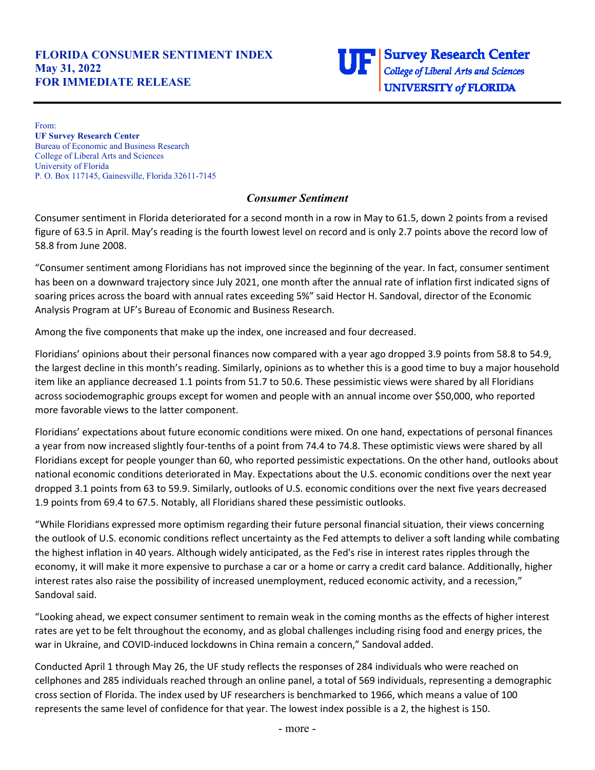From: The contract of the contract of the contract of the contract of the contract of the contract of the contract of the contract of the contract of the contract of the contract of the contract of the contract of the cont **UF Survey Research Center** Bureau of Economic and Business Research College of Liberal Arts and Sciences University of Florida P. O. Box 117145, Gainesville, Florida 32611-7145

## *Consumer Sentiment*

Consumer sentiment in Florida deteriorated for a second month in a row in May to 61.5, down 2 points from a revised figure of 63.5 in April. May's reading is the fourth lowest level on record and is only 2.7 points above the record low of 58.8 from June 2008.

"Consumer sentiment among Floridians has not improved since the beginning of the year. In fact, consumer sentiment has been on a downward trajectory since July 2021, one month after the annual rate of inflation first indicated signs of soaring prices across the board with annual rates exceeding 5%" said Hector H. Sandoval, director of the Economic Analysis Program at UF's Bureau of Economic and Business Research.

Among the five components that make up the index, one increased and four decreased.

Floridians' opinions about their personal finances now compared with a year ago dropped 3.9 points from 58.8 to 54.9, the largest decline in this month's reading. Similarly, opinions as to whether this is a good time to buy a major household item like an appliance decreased 1.1 points from 51.7 to 50.6. These pessimistic views were shared by all Floridians across sociodemographic groups except for women and people with an annual income over \$50,000, who reported more favorable views to the latter component.

Floridians' expectations about future economic conditions were mixed. On one hand, expectations of personal finances a year from now increased slightly four-tenths of a point from 74.4 to 74.8. These optimistic views were shared by all Floridians except for people younger than 60, who reported pessimistic expectations. On the other hand, outlooks about national economic conditions deteriorated in May. Expectations about the U.S. economic conditions over the next year dropped 3.1 points from 63 to 59.9. Similarly, outlooks of U.S. economic conditions over the next five years decreased 1.9 points from 69.4 to 67.5. Notably, all Floridians shared these pessimistic outlooks.

"While Floridians expressed more optimism regarding their future personal financial situation, their views concerning the outlook of U.S. economic conditions reflect uncertainty as the Fed attempts to deliver a soft landing while combating the highest inflation in 40 years. Although widely anticipated, as the Fed's rise in interest rates ripples through the economy, it will make it more expensive to purchase a car or a home or carry a credit card balance. Additionally, higher interest rates also raise the possibility of increased unemployment, reduced economic activity, and a recession," Sandoval said.

"Looking ahead, we expect consumer sentiment to remain weak in the coming months as the effects of higher interest rates are yet to be felt throughout the economy, and as global challenges including rising food and energy prices, the war in Ukraine, and COVID-induced lockdowns in China remain a concern," Sandoval added.

Conducted April 1 through May 26, the UF study reflects the responses of 284 individuals who were reached on cellphones and 285 individuals reached through an online panel, a total of 569 individuals, representing a demographic cross section of Florida. The index used by UF researchers is benchmarked to 1966, which means a value of 100 represents the same level of confidence for that year. The lowest index possible is a 2, the highest is 150.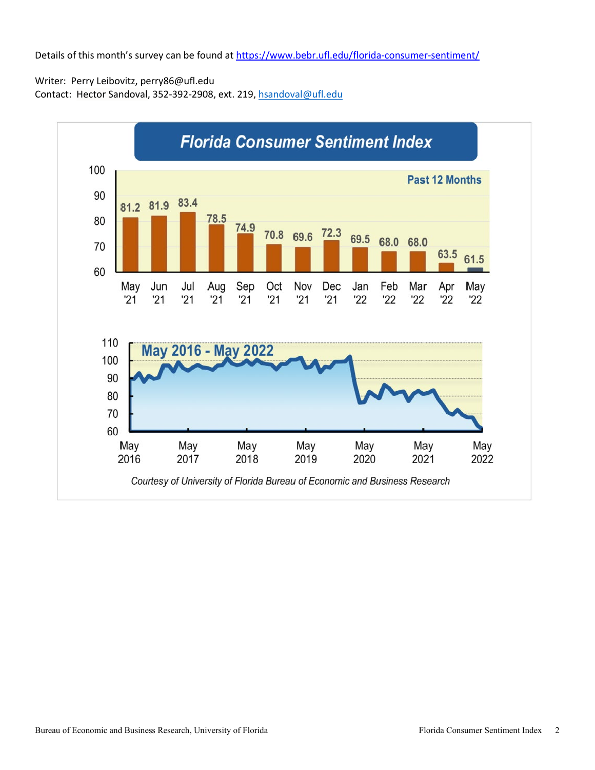Details of this month's survey can be found at<https://www.bebr.ufl.edu/florida-consumer-sentiment/>

Writer: Perry Leibovitz, perry86@ufl.edu Contact: Hector Sandoval, 352-392-2908, ext. 219, [hsandoval@ufl.edu](mailto:hsandoval@ufl.edu)

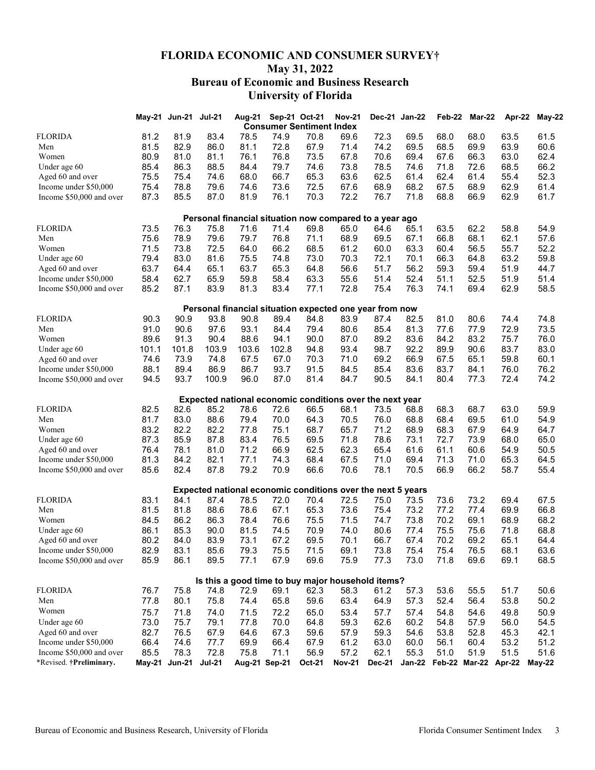## **FLORIDA ECONOMIC AND CONSUMER SURVEY† May 31, 2022 Bureau of Economic and Business Research University of Florida**

|                           |       | May-21 Jun-21        | <b>Jul-21</b> | Aug-21 |               | Sep-21 Oct-21                   | <b>Nov-21</b>                                               | <b>Dec-21</b> | <b>Jan-22</b> | Feb-22                      | <b>Mar-22</b> | Apr-22 | $May-22$ |
|---------------------------|-------|----------------------|---------------|--------|---------------|---------------------------------|-------------------------------------------------------------|---------------|---------------|-----------------------------|---------------|--------|----------|
|                           |       |                      |               |        |               | <b>Consumer Sentiment Index</b> |                                                             |               |               |                             |               |        |          |
| <b>FLORIDA</b>            | 81.2  | 81.9                 | 83.4          | 78.5   | 74.9          | 70.8                            | 69.6                                                        | 72.3          | 69.5          | 68.0                        | 68.0          | 63.5   | 61.5     |
| Men                       | 81.5  | 82.9                 | 86.0          | 81.1   | 72.8          | 67.9                            | 71.4                                                        | 74.2          | 69.5          | 68.5                        | 69.9          | 63.9   | 60.6     |
| Women                     | 80.9  | 81.0                 | 81.1          | 76.1   | 76.8          | 73.5                            | 67.8                                                        | 70.6          | 69.4          | 67.6                        | 66.3          | 63.0   | 62.4     |
| Under age 60              | 85.4  | 86.3                 | 88.5          | 84.4   | 79.7          | 74.6                            | 73.8                                                        | 78.5          | 74.6          | 71.8                        | 72.6          | 68.5   | 66.2     |
| Aged 60 and over          | 75.5  | 75.4                 | 74.6          | 68.0   | 66.7          | 65.3                            | 63.6                                                        | 62.5          | 61.4          | 62.4                        | 61.4          | 55.4   | 52.3     |
| Income under \$50,000     | 75.4  | 78.8                 | 79.6          | 74.6   | 73.6          | 72.5                            | 67.6                                                        | 68.9          | 68.2          | 67.5                        | 68.9          | 62.9   | 61.4     |
| Income \$50,000 and over  | 87.3  | 85.5                 | 87.0          | 81.9   | 76.1          | 70.3                            | 72.2                                                        | 76.7          | 71.8          | 68.8                        | 66.9          | 62.9   | 61.7     |
|                           |       |                      |               |        |               |                                 | Personal financial situation now compared to a year ago     |               |               |                             |               |        |          |
| <b>FLORIDA</b>            | 73.5  | 76.3                 | 75.8          | 71.6   | 71.4          | 69.8                            | 65.0                                                        | 64.6          | 65.1          | 63.5                        | 62.2          | 58.8   | 54.9     |
| Men                       | 75.6  | 78.9                 | 79.6          | 79.7   | 76.8          | 71.1                            | 68.9                                                        | 69.5          | 67.1          | 66.8                        | 68.1          | 62.1   | 57.6     |
| Women                     | 71.5  | 73.8                 | 72.5          | 64.0   | 66.2          | 68.5                            | 61.2                                                        | 60.0          | 63.3          | 60.4                        | 56.5          | 55.7   | 52.2     |
| Under age 60              | 79.4  | 83.0                 | 81.6          | 75.5   | 74.8          | 73.0                            | 70.3                                                        | 72.1          | 70.1          | 66.3                        | 64.8          | 63.2   | 59.8     |
| Aged 60 and over          | 63.7  | 64.4                 | 65.1          | 63.7   | 65.3          | 64.8                            | 56.6                                                        | 51.7          | 56.2          | 59.3                        | 59.4          | 51.9   | 44.7     |
| Income under \$50,000     | 58.4  | 62.7                 | 65.9          | 59.8   | 58.4          | 63.3                            | 55.6                                                        | 51.4          | 52.4          | 51.1                        | 52.5          | 51.9   | 51.4     |
| Income \$50,000 and over  | 85.2  | 87.1                 | 83.9          | 81.3   | 83.4          | 77.1                            | 72.8                                                        | 75.4          | 76.3          | 74.1                        | 69.4          | 62.9   | 58.5     |
|                           |       |                      |               |        |               |                                 | Personal financial situation expected one year from now     |               |               |                             |               |        |          |
| <b>FLORIDA</b>            | 90.3  | 90.9                 | 93.8          | 90.8   | 89.4          | 84.8                            | 83.9                                                        | 87.4          | 82.5          | 81.0                        | 80.6          | 74.4   | 74.8     |
| Men                       | 91.0  | 90.6                 | 97.6          | 93.1   | 84.4          | 79.4                            | 80.6                                                        | 85.4          | 81.3          | 77.6                        | 77.9          | 72.9   | 73.5     |
| Women                     | 89.6  | 91.3                 | 90.4          | 88.6   | 94.1          | 90.0                            | 87.0                                                        | 89.2          | 83.6          | 84.2                        | 83.2          | 75.7   | 76.0     |
| Under age 60              | 101.1 | 101.8                | 103.9         | 103.6  | 102.8         | 94.8                            | 93.4                                                        | 98.7          | 92.2          | 89.9                        | 90.6          | 83.7   | 83.0     |
| Aged 60 and over          | 74.6  | 73.9                 | 74.8          | 67.5   | 67.0          | 70.3                            | 71.0                                                        | 69.2          | 66.9          | 67.5                        | 65.1          | 59.8   | 60.1     |
| Income under \$50,000     | 88.1  | 89.4                 | 86.9          | 86.7   | 93.7          | 91.5                            | 84.5                                                        | 85.4          | 83.6          | 83.7                        | 84.1          | 76.0   | 76.2     |
| Income \$50,000 and over  | 94.5  | 93.7                 | 100.9         | 96.0   | 87.0          | 81.4                            | 84.7                                                        | 90.5          | 84.1          | 80.4                        | 77.3          | 72.4   | 74.2     |
|                           |       |                      |               |        |               |                                 | Expected national economic conditions over the next year    |               |               |                             |               |        |          |
| <b>FLORIDA</b>            | 82.5  | 82.6                 | 85.2          | 78.6   | 72.6          | 66.5                            | 68.1                                                        | 73.5          | 68.8          | 68.3                        | 68.7          | 63.0   | 59.9     |
| Men                       | 81.7  | 83.0                 | 88.6          | 79.4   | 70.0          | 64.3                            | 70.5                                                        | 76.0          | 68.8          | 68.4                        | 69.5          | 61.0   | 54.9     |
| Women                     | 83.2  | 82.2                 | 82.2          | 77.8   | 75.1          | 68.7                            | 65.7                                                        | 71.2          | 68.9          | 68.3                        | 67.9          | 64.9   | 64.7     |
| Under age 60              | 87.3  | 85.9                 | 87.8          | 83.4   | 76.5          | 69.5                            | 71.8                                                        | 78.6          | 73.1          | 72.7                        | 73.9          | 68.0   | 65.0     |
| Aged 60 and over          | 76.4  | 78.1                 | 81.0          | 71.2   | 66.9          | 62.5                            | 62.3                                                        | 65.4          | 61.6          | 61.1                        | 60.6          | 54.9   | 50.5     |
| Income under \$50,000     | 81.3  | 84.2                 | 82.1          | 77.1   | 74.3          | 68.4                            | 67.5                                                        | 71.0          | 69.4          | 71.3                        | 71.0          | 65.3   | 64.5     |
| Income \$50,000 and over  | 85.6  | 82.4                 | 87.8          | 79.2   | 70.9          | 66.6                            | 70.6                                                        | 78.1          | 70.5          | 66.9                        | 66.2          | 58.7   | 55.4     |
|                           |       |                      |               |        |               |                                 | Expected national economic conditions over the next 5 years |               |               |                             |               |        |          |
| <b>FLORIDA</b>            | 83.1  | 84.1                 | 87.4          | 78.5   | 72.0          | 70.4                            | 72.5                                                        | 75.0          | 73.5          | 73.6                        | 73.2          | 69.4   | 67.5     |
| Men                       | 81.5  | 81.8                 | 88.6          | 78.6   | 67.1          | 65.3                            | 73.6                                                        | 75.4          | 73.2          | 77.2                        | 77.4          | 69.9   | 66.8     |
| Women                     | 84.5  | 86.2                 | 86.3          | 78.4   | 76.6          | 75.5                            | 71.5                                                        | 74.7          | 73.8          | 70.2                        | 69.1          | 68.9   | 68.2     |
| Under age 60              | 86.1  | 85.3                 | 90.0          | 81.5   | 74.5          | 70.9                            | 74.0                                                        | 80.6          | 77.4          | 75.5                        | 75.6          | 71.8   | 68.8     |
| Aged 60 and over          | 80.2  | 84.0                 | 83.9          | 73.1   | 67.2          | 69.5                            | 70.1                                                        | 66.7          | 67.4          | 70.2                        | 69.2          | 65.1   | 64.4     |
| Income under $\$50,\!000$ | 82.9  | 83.1                 | 85.6          | 79.3   | 15.5          | 71.5                            | 69.1                                                        | 73.8          | 75.4          | 75.4                        | 76.5          | 68.1   | 63.6     |
| Income \$50,000 and over  | 85.9  | 86.1                 | 89.5          | 77.1   | 67.9          | 69.6                            | 75.9                                                        | 77.3          | 73.0          | 71.8                        | 69.6          | 69.1   | 68.5     |
|                           |       |                      |               |        |               |                                 | Is this a good time to buy major household items?           |               |               |                             |               |        |          |
| <b>FLORIDA</b>            | 76.7  | 75.8                 | 74.8          | 72.9   | 69.1          | 62.3                            | 58.3                                                        | 61.2          | 57.3          | 53.6                        | 55.5          | 51.7   | 50.6     |
| Men                       | 77.8  | 80.1                 | 75.8          | 74.4   | 65.8          | 59.6                            | 63.4                                                        | 64.9          | 57.3          | 52.4                        | 56.4          | 53.8   | 50.2     |
| Women                     | 75.7  | 71.8                 | 74.0          | 71.5   | 72.2          | 65.0                            | 53.4                                                        | 57.7          | 57.4          | 54.8                        | 54.6          | 49.8   | 50.9     |
| Under age 60              | 73.0  | 75.7                 | 79.1          | 77.8   | 70.0          | 64.8                            | 59.3                                                        | 62.6          | 60.2          | 54.8                        | 57.9          | 56.0   | 54.5     |
| Aged 60 and over          | 82.7  | 76.5                 | 67.9          | 64.6   | 67.3          | 59.6                            | 57.9                                                        | 59.3          | 54.6          | 53.8                        | 52.8          | 45.3   | 42.1     |
| Income under \$50,000     | 66.4  | 74.6                 | 77.7          | 69.9   | 66.4          | 67.9                            | 61.2                                                        | 63.0          | 60.0          | 56.1                        | 60.4          | 53.2   | 51.2     |
| Income \$50,000 and over  | 85.5  | 78.3                 | 72.8          | 75.8   | 71.1          | 56.9                            | 57.2                                                        | 62.1          | 55.3          | 51.0                        | 51.9          | 51.5   | 51.6     |
| *Revised. †Preliminary.   |       | May-21 Jun-21 Jul-21 |               |        | Aug-21 Sep-21 | <b>Oct-21</b>                   | <b>Nov-21</b>                                               | <b>Dec-21</b> |               | Jan-22 Feb-22 Mar-22 Apr-22 |               |        | May-22   |